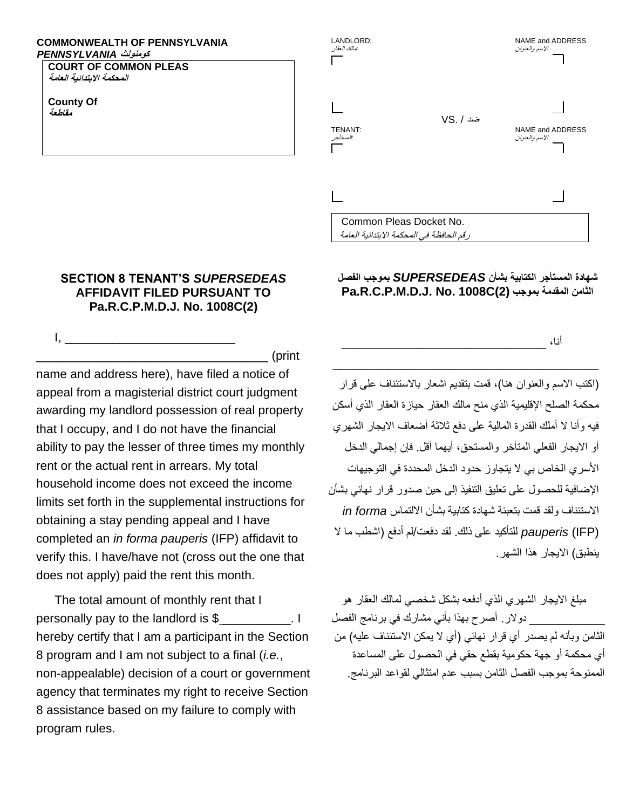## **COMMONWEALTH OF PENNSYLVANIA كومنولث** *PENNSYLVANIA*

**COURT OF COMMON PLEAS المحكمة االبتدائية العامة**

**County Of مقاطعة** 



## **شهادة المستأجر الكتابية بشأن** *SUPERSEDEAS* **بموجب الفصل Pa.R.C.P.M.D.J. No. 1008C(2) بموجب المقدمة الثامن**

 $\overline{\phantom{a}}$  ,  $\overline{\phantom{a}}$  ,  $\overline{\phantom{a}}$  ,  $\overline{\phantom{a}}$  ,  $\overline{\phantom{a}}$  ,  $\overline{\phantom{a}}$  ,  $\overline{\phantom{a}}$  ,  $\overline{\phantom{a}}$  ,  $\overline{\phantom{a}}$  ,  $\overline{\phantom{a}}$  ,  $\overline{\phantom{a}}$  ,  $\overline{\phantom{a}}$  ,  $\overline{\phantom{a}}$  ,  $\overline{\phantom{a}}$  ,  $\overline{\phantom{a}}$  ,  $\overline{\phantom{a}}$ 

أنا، \_\_\_\_\_\_\_\_\_\_\_\_\_\_\_\_\_\_\_\_\_\_\_\_\_\_\_\_\_\_

(اكتب الاسم والعنوان هنا)، قمت بتقديم اشعار بالاستئناف على قرار محكمة الصلح اإلقليمية الذي منح مالك العقار حيازة العقار الذي أسكن فيه وأنا لا أملك القدرة المالية على دفع ثلاثة أضعاف الايجار الشهري أو االيجار الفعلي المتأخر والمستحق، أيهما أقل. فإن إجمالي الدخل األسري الخاص بي ال يتجاوز حدود الدخل المحددة في التوجيهات اإلضافية للحصول على تعليق التنفيذ إلى حين صدور قرار نهائي بشأن االستئناف ولقد قمت بتعبئة شهادة كتابية بشأن االلتماس *forma in* (IFP (*pauperis* للتأكيد على ذلك. لقد دفعت/لم أدفع )اشطب ما ال ينطبق) الايجار هذا الشهر

مبلغ االيجار الشهري الذي أدفعه بشكل شخصي لمالك العقار هو \_\_\_\_\_\_\_\_\_\_\_ دوالر. أصرح بهذا بأني مشارك في برنامج الفصل الثامن وبأنه لم يصدر أي قرار نهائي (أي لا يمكن الاستئناف عليه) من أي محكمة أو جهة حكومية بقطع حقي في الحصول على المساعدة الممنوحة بموجب الفصل الثامن بسبب عدم امتثالي لقواعد البرنامج.

## **SECTION 8 TENANT'S** *SUPERSEDEAS*  **AFFIDAVIT FILED PURSUANT TO Pa.R.C.P.M.D.J. No. 1008C(2)**

 $\Box$  (print

 $\mathsf{I}, \mathsf{I}, \mathsf{I}$ 

name and address here), have filed a notice of appeal from a magisterial district court judgment awarding my landlord possession of real property that I occupy, and I do not have the financial ability to pay the lesser of three times my monthly rent or the actual rent in arrears. My total household income does not exceed the income limits set forth in the supplemental instructions for obtaining a stay pending appeal and I have completed an *in forma pauperis* (IFP) affidavit to verify this. I have/have not (cross out the one that does not apply) paid the rent this month.

The total amount of monthly rent that I personally pay to the landlord is \$ \_\_\_\_\_\_\_\_\_\_. I hereby certify that I am a participant in the Section 8 program and I am not subject to a final (*i.e.*, non-appealable) decision of a court or government agency that terminates my right to receive Section 8 assistance based on my failure to comply with program rules.